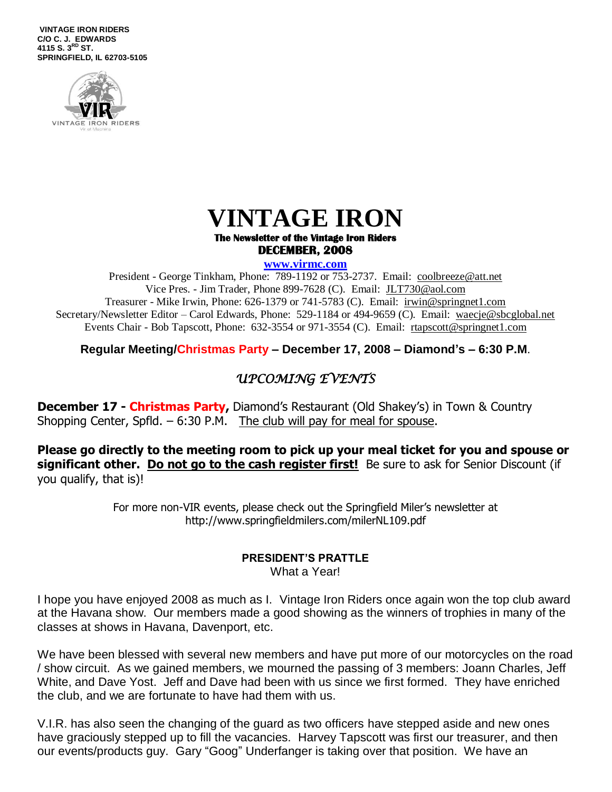**VINTAGE IRON RIDERS C/O C. J. EDWARDS 4115 S. 3 RD ST. SPRINGFIELD, IL 62703-5105**



# **VINTAGE IRON**

#### **The Newsletter of the Vintage Iron Riders DECEMBER, 2008**

#### **www.virmc.com**

President - George Tinkham, Phone: 789-1192 or 753-2737. Email: [coolbreeze@att.net](mailto:coolbreeze@att.net) Vice Pres. - Jim Trader, Phone 899-7628 (C). Email: [JLT730@aol.com](mailto:JLT730@aol.com) Treasurer - Mike Irwin, Phone: 626-1379 or 741-5783 (C). Email: irwin@springnet1.com Secretary/Newsletter Editor – Carol Edwards, Phone: 529-1184 or 494-9659 (C). Email: waecje@sbcglobal.net Events Chair - Bob Tapscott, Phone: 632-3554 or 971-3554 (C). Email: [rtapscott@springnet1.com](mailto:rtapscott@springnet1.com)

**Regular Meeting/Christmas Party – December 17, 2008 – Diamond's – 6:30 P.M**.

# *UPCOMING EVENTS*

**December 17 - Christmas Party,** Diamond's Restaurant (Old Shakey's) in Town & Country Shopping Center, Spfld.  $-6:30$  P.M. The club will pay for meal for spouse.

**Please go directly to the meeting room to pick up your meal ticket for you and spouse or significant other. Do not go to the cash register first!** Be sure to ask for Senior Discount (if you qualify, that is)!

> For more non-VIR events, please check out the Springfield Miler's newsletter at http://www.springfieldmilers.com/milerNL109.pdf

#### **PRESIDENT'S PRATTLE**

What a Year!

I hope you have enjoyed 2008 as much as I. Vintage Iron Riders once again won the top club award at the Havana show. Our members made a good showing as the winners of trophies in many of the classes at shows in Havana, Davenport, etc.

We have been blessed with several new members and have put more of our motorcycles on the road / show circuit. As we gained members, we mourned the passing of 3 members: Joann Charles, Jeff White, and Dave Yost. Jeff and Dave had been with us since we first formed. They have enriched the club, and we are fortunate to have had them with us.

V.I.R. has also seen the changing of the guard as two officers have stepped aside and new ones have graciously stepped up to fill the vacancies. Harvey Tapscott was first our treasurer, and then our events/products guy. Gary "Goog" Underfanger is taking over that position. We have an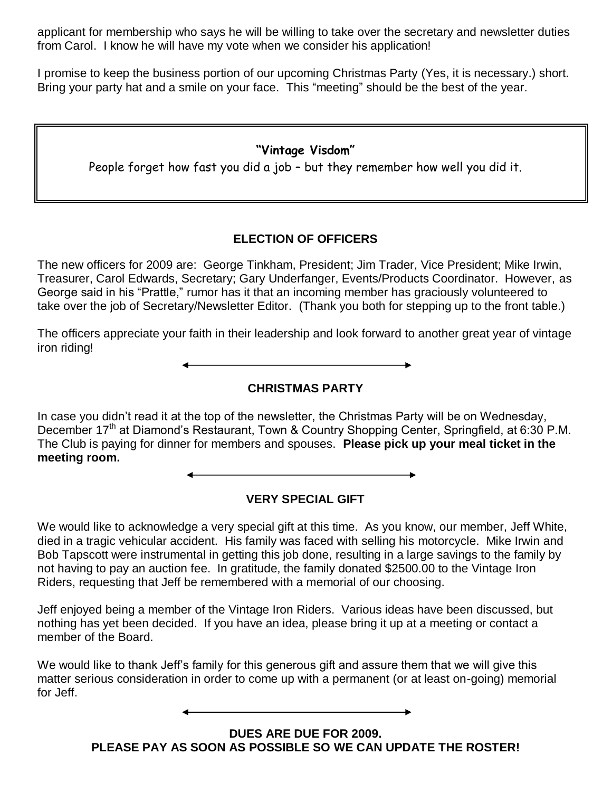applicant for membership who says he will be willing to take over the secretary and newsletter duties from Carol. I know he will have my vote when we consider his application!

I promise to keep the business portion of our upcoming Christmas Party (Yes, it is necessary.) short. Bring your party hat and a smile on your face. This "meeting" should be the best of the year.

### **"Vintage Visdom"**

People forget how fast you did a job – but they remember how well you did it.

### **ELECTION OF OFFICERS**

The new officers for 2009 are: George Tinkham, President; Jim Trader, Vice President; Mike Irwin, Treasurer, Carol Edwards, Secretary; Gary Underfanger, Events/Products Coordinator. However, as George said in his "Prattle," rumor has it that an incoming member has graciously volunteered to take over the job of Secretary/Newsletter Editor. (Thank you both for stepping up to the front table.)

The officers appreciate your faith in their leadership and look forward to another great year of vintage iron riding!

**CHRISTMAS PARTY**

In case you didn't read it at the top of the newsletter, the Christmas Party will be on Wednesday, December 17<sup>th</sup> at Diamond's Restaurant, Town & Country Shopping Center, Springfield, at 6:30 P.M. The Club is paying for dinner for members and spouses. **Please pick up your meal ticket in the meeting room.**

## **VERY SPECIAL GIFT**

We would like to acknowledge a very special gift at this time. As you know, our member, Jeff White, died in a tragic vehicular accident. His family was faced with selling his motorcycle. Mike Irwin and Bob Tapscott were instrumental in getting this job done, resulting in a large savings to the family by not having to pay an auction fee. In gratitude, the family donated \$2500.00 to the Vintage Iron Riders, requesting that Jeff be remembered with a memorial of our choosing.

Jeff enjoyed being a member of the Vintage Iron Riders. Various ideas have been discussed, but nothing has yet been decided. If you have an idea, please bring it up at a meeting or contact a member of the Board.

We would like to thank Jeff's family for this generous gift and assure them that we will give this matter serious consideration in order to come up with a permanent (or at least on-going) memorial for Jeff.

> **DUES ARE DUE FOR 2009. PLEASE PAY AS SOON AS POSSIBLE SO WE CAN UPDATE THE ROSTER!**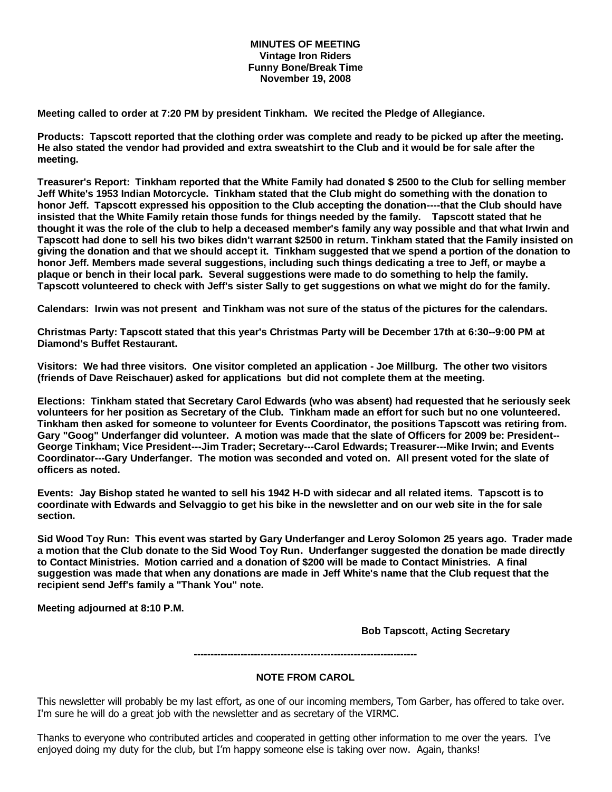#### **MINUTES OF MEETING Vintage Iron Riders Funny Bone/Break Time November 19, 2008**

**Meeting called to order at 7:20 PM by president Tinkham. We recited the Pledge of Allegiance.**

**Products: Tapscott reported that the clothing order was complete and ready to be picked up after the meeting. He also stated the vendor had provided and extra sweatshirt to the Club and it would be for sale after the meeting.** 

**Treasurer's Report: Tinkham reported that the White Family had donated \$ 2500 to the Club for selling member Jeff White's 1953 Indian Motorcycle. Tinkham stated that the Club might do something with the donation to honor Jeff. Tapscott expressed his opposition to the Club accepting the donation----that the Club should have insisted that the White Family retain those funds for things needed by the family. Tapscott stated that he thought it was the role of the club to help a deceased member's family any way possible and that what Irwin and Tapscott had done to sell his two bikes didn't warrant \$2500 in return. Tinkham stated that the Family insisted on giving the donation and that we should accept it. Tinkham suggested that we spend a portion of the donation to honor Jeff. Members made several suggestions, including such things dedicating a tree to Jeff, or maybe a plaque or bench in their local park. Several suggestions were made to do something to help the family. Tapscott volunteered to check with Jeff's sister Sally to get suggestions on what we might do for the family.** 

**Calendars: Irwin was not present and Tinkham was not sure of the status of the pictures for the calendars.**

**Christmas Party: Tapscott stated that this year's Christmas Party will be December 17th at 6:30--9:00 PM at Diamond's Buffet Restaurant.**

**Visitors: We had three visitors. One visitor completed an application - Joe Millburg. The other two visitors (friends of Dave Reischauer) asked for applications but did not complete them at the meeting.**

**Elections: Tinkham stated that Secretary Carol Edwards (who was absent) had requested that he seriously seek volunteers for her position as Secretary of the Club. Tinkham made an effort for such but no one volunteered. Tinkham then asked for someone to volunteer for Events Coordinator, the positions Tapscott was retiring from. Gary "Goog" Underfanger did volunteer. A motion was made that the slate of Officers for 2009 be: President-- George Tinkham; Vice President---Jim Trader; Secretary---Carol Edwards; Treasurer---Mike Irwin; and Events Coordinator---Gary Underfanger. The motion was seconded and voted on. All present voted for the slate of officers as noted.**

**Events: Jay Bishop stated he wanted to sell his 1942 H-D with sidecar and all related items. Tapscott is to coordinate with Edwards and Selvaggio to get his bike in the newsletter and on our web site in the for sale section.**

**Sid Wood Toy Run: This event was started by Gary Underfanger and Leroy Solomon 25 years ago. Trader made a motion that the Club donate to the Sid Wood Toy Run. Underfanger suggested the donation be made directly to Contact Ministries. Motion carried and a donation of \$200 will be made to Contact Ministries. A final suggestion was made that when any donations are made in Jeff White's name that the Club request that the recipient send Jeff's family a "Thank You" note.** 

**Meeting adjourned at 8:10 P.M.** 

**Bob Tapscott, Acting Secretary**

**-------------------------------------------------------------------**

#### **NOTE FROM CAROL**

This newsletter will probably be my last effort, as one of our incoming members, Tom Garber, has offered to take over. I'm sure he will do a great job with the newsletter and as secretary of the VIRMC.

Thanks to everyone who contributed articles and cooperated in getting other information to me over the years. I've enjoyed doing my duty for the club, but I'm happy someone else is taking over now. Again, thanks!